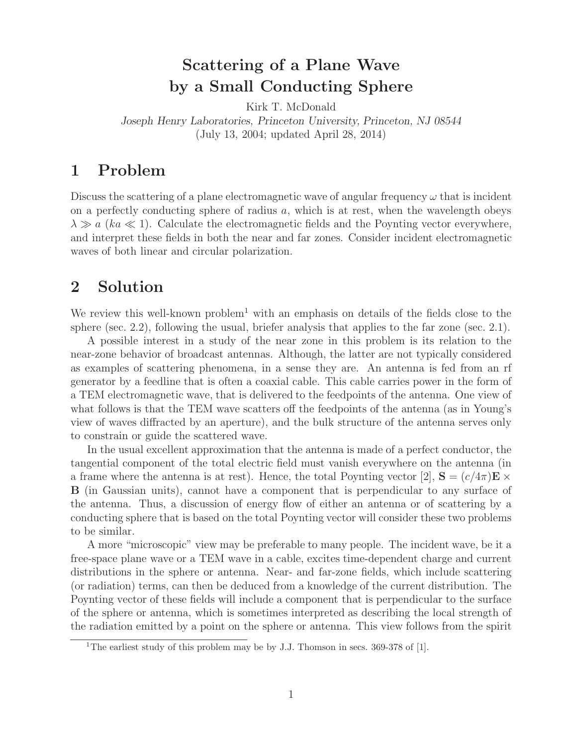# **Scattering of a Plane Wave by a Small Conducting Sphere**

Kirk T. McDonald *Joseph Henry Laboratories, Princeton University, Princeton, NJ 08544* (July 13, 2004; updated April 28, 2014)

## **1 Problem**

Discuss the scattering of a plane electromagnetic wave of angular frequency  $\omega$  that is incident on a perfectly conducting sphere of radius  $a$ , which is at rest, when the wavelength obeys  $\lambda \gg a$  (ka  $\ll 1$ ). Calculate the electromagnetic fields and the Poynting vector everywhere, and interpret these fields in both the near and far zones. Consider incident electromagnetic waves of both linear and circular polarization.

## **2 Solution**

We review this well-known problem<sup>1</sup> with an emphasis on details of the fields close to the sphere (sec. 2.2), following the usual, briefer analysis that applies to the far zone (sec. 2.1).

A possible interest in a study of the near zone in this problem is its relation to the near-zone behavior of broadcast antennas. Although, the latter are not typically considered as examples of scattering phenomena, in a sense they are. An antenna is fed from an rf generator by a feedline that is often a coaxial cable. This cable carries power in the form of a TEM electromagnetic wave, that is delivered to the feedpoints of the antenna. One view of what follows is that the TEM wave scatters off the feedpoints of the antenna (as in Young's view of waves diffracted by an aperture), and the bulk structure of the antenna serves only to constrain or guide the scattered wave.

In the usual excellent approximation that the antenna is made of a perfect conductor, the tangential component of the total electric field must vanish everywhere on the antenna (in a frame where the antenna is at rest). Hence, the total Poynting vector [2],  $\mathbf{S} = (c/4\pi)\mathbf{E} \times$ **B** (in Gaussian units), cannot have a component that is perpendicular to any surface of the antenna. Thus, a discussion of energy flow of either an antenna or of scattering by a conducting sphere that is based on the total Poynting vector will consider these two problems to be similar.

A more "microscopic" view may be preferable to many people. The incident wave, be it a free-space plane wave or a TEM wave in a cable, excites time-dependent charge and current distributions in the sphere or antenna. Near- and far-zone fields, which include scattering (or radiation) terms, can then be deduced from a knowledge of the current distribution. The Poynting vector of these fields will include a component that is perpendicular to the surface of the sphere or antenna, which is sometimes interpreted as describing the local strength of the radiation emitted by a point on the sphere or antenna. This view follows from the spirit

<sup>&</sup>lt;sup>1</sup>The earliest study of this problem may be by J.J. Thomson in secs.  $369-378$  of [1].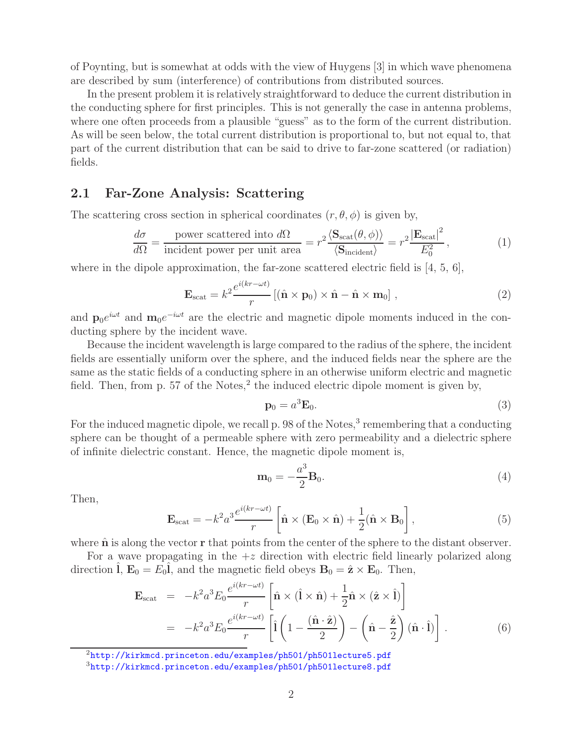of Poynting, but is somewhat at odds with the view of Huygens [3] in which wave phenomena are described by sum (interference) of contributions from distributed sources.

In the present problem it is relatively straightforward to deduce the current distribution in the conducting sphere for first principles. This is not generally the case in antenna problems, where one often proceeds from a plausible "guess" as to the form of the current distribution. As will be seen below, the total current distribution is proportional to, but not equal to, that part of the current distribution that can be said to drive to far-zone scattered (or radiation) fields.

### **2.1 Far-Zone Analysis: Scattering**

The scattering cross section in spherical coordinates  $(r, \theta, \phi)$  is given by,

$$
\frac{d\sigma}{d\Omega} = \frac{\text{power scattered into }d\Omega}{\text{incident power per unit area}} = r^2 \frac{\langle \mathbf{S}_{\text{scat}}(\theta, \phi) \rangle}{\langle \mathbf{S}_{\text{incident}} \rangle} = r^2 \frac{|\mathbf{E}_{\text{scat}}|^2}{E_0^2},\tag{1}
$$

where in the dipole approximation, the far-zone scattered electric field is  $[4, 5, 6]$ ,

$$
\mathbf{E}_{\text{scat}} = k^2 \frac{e^{i(kr - \omega t)}}{r} \left[ (\hat{\mathbf{n}} \times \mathbf{p}_0) \times \hat{\mathbf{n}} - \hat{\mathbf{n}} \times \mathbf{m}_0 \right], \tag{2}
$$

and  $\mathbf{p}_0e^{i\omega t}$  and  $\mathbf{m}_0e^{-i\omega t}$  are the electric and magnetic dipole moments induced in the conducting sphere by the incident wave.

Because the incident wavelength is large compared to the radius of the sphere, the incident fields are essentially uniform over the sphere, and the induced fields near the sphere are the same as the static fields of a conducting sphere in an otherwise uniform electric and magnetic field. Then, from p. 57 of the Notes, $^2$  the induced electric dipole moment is given by,

$$
\mathbf{p}_0 = a^3 \mathbf{E}_0. \tag{3}
$$

For the induced magnetic dipole, we recall p. 98 of the Notes, $3$  remembering that a conducting sphere can be thought of a permeable sphere with zero permeability and a dielectric sphere of infinite dielectric constant. Hence, the magnetic dipole moment is,

$$
\mathbf{m}_0 = -\frac{a^3}{2} \mathbf{B}_0. \tag{4}
$$

Then,

$$
\mathbf{E}_{\text{scat}} = -k^2 a^3 \frac{e^{i(kr - \omega t)}}{r} \left[ \hat{\mathbf{n}} \times (\mathbf{E}_0 \times \hat{\mathbf{n}}) + \frac{1}{2} (\hat{\mathbf{n}} \times \mathbf{B}_0 \right],
$$
 (5)

where  $\hat{\bf{n}}$  is along the vector  $\bf{r}$  that points from the center of the sphere to the distant observer.

For a wave propagating in the  $+z$  direction with electric field linearly polarized along direction  $\hat{\mathbf{l}}$ ,  $\mathbf{E}_0 = E_0 \hat{\mathbf{l}}$ , and the magnetic field obeys  $\mathbf{B}_0 = \hat{\mathbf{z}} \times \mathbf{E}_0$ . Then,

$$
\mathbf{E}_{\text{scat}} = -k^2 a^3 E_0 \frac{e^{i(kr - \omega t)}}{r} \left[ \hat{\mathbf{n}} \times (\hat{\mathbf{l}} \times \hat{\mathbf{n}}) + \frac{1}{2} \hat{\mathbf{n}} \times (\hat{\mathbf{z}} \times \hat{\mathbf{l}}) \right]
$$
  
= 
$$
-k^2 a^3 E_0 \frac{e^{i(kr - \omega t)}}{r} \left[ \hat{\mathbf{l}} \left( 1 - \frac{(\hat{\mathbf{n}} \cdot \hat{\mathbf{z}})}{2} \right) - \left( \hat{\mathbf{n}} - \frac{\hat{\mathbf{z}}}{2} \right) (\hat{\mathbf{n}} \cdot \hat{\mathbf{l}}) \right].
$$
 (6)

<sup>2</sup>http://kirkmcd.princeton.edu/examples/ph501/ph501lecture5.pdf

<sup>3</sup>http://kirkmcd.princeton.edu/examples/ph501/ph501lecture8.pdf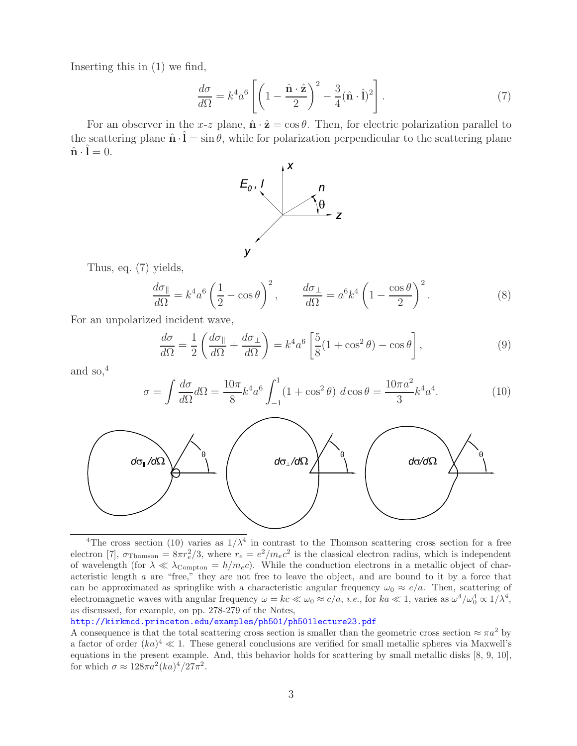Inserting this in (1) we find,

$$
\frac{d\sigma}{d\Omega} = k^4 a^6 \left[ \left( 1 - \frac{\hat{\mathbf{n}} \cdot \hat{\mathbf{z}}}{2} \right)^2 - \frac{3}{4} (\hat{\mathbf{n}} \cdot \hat{\mathbf{l}})^2 \right]. \tag{7}
$$

For an observer in the x-z plane,  $\hat{\mathbf{n}} \cdot \hat{\mathbf{z}} = \cos \theta$ . Then, for electric polarization parallel to the scattering plane  $\hat{\mathbf{n}} \cdot \mathbf{l} = \sin \theta$ , while for polarization perpendicular to the scattering plane  $\hat{\mathbf{n}} \cdot \mathbf{l} = 0.$ 



Thus, eq. (7) yields,

$$
\frac{d\sigma_{\parallel}}{d\Omega} = k^4 a^6 \left(\frac{1}{2} - \cos\theta\right)^2, \qquad \frac{d\sigma_{\perp}}{d\Omega} = a^6 k^4 \left(1 - \frac{\cos\theta}{2}\right)^2. \tag{8}
$$

For an unpolarized incident wave,

$$
\frac{d\sigma}{d\Omega} = \frac{1}{2} \left( \frac{d\sigma_{\parallel}}{d\Omega} + \frac{d\sigma_{\perp}}{d\Omega} \right) = k^4 a^6 \left[ \frac{5}{8} (1 + \cos^2 \theta) - \cos \theta \right],\tag{9}
$$

and so, $4$ 

$$
\sigma = \int \frac{d\sigma}{d\Omega} d\Omega = \frac{10\pi}{8} k^4 a^6 \int_{-1}^1 (1 + \cos^2 \theta) \ d\cos \theta = \frac{10\pi a^2}{3} k^4 a^4. \tag{10}
$$



<sup>&</sup>lt;sup>4</sup>The cross section (10) varies as  $1/\lambda^4$  in contrast to the Thomson scattering cross section for a free electron [7],  $\sigma_{\text{Thomson}} = 8\pi r_e^2/3$ , where  $r_e = e^2/m_e c^2$  is the classical electron radius, which is independent of wavelength (for  $\lambda \ll \lambda_{\text{Compton}} = h/m_e c$ ). While the conduction electrons in a metallic object of characteristic length a are "free," they are not free to leave the object, and are bound to it by a force that can be approximated as springlike with a characteristic angular frequency  $\omega_0 \approx c/a$ . Then, scattering of electromagnetic waves with angular frequency  $\omega = kc \ll \omega_0 \approx c/a$ , *i.e.*, for  $ka \ll 1$ , varies as  $\omega^4/\omega_0^4 \propto 1/\lambda^4$ , as discussed, for example, on pp. 278-279 of the Notes,

http://kirkmcd.princeton.edu/examples/ph501/ph501lecture23.pdf

A consequence is that the total scattering cross section is smaller than the geometric cross section  $\approx \pi a^2$  by a factor of order  $(ka)^4 \ll 1$ . These general conclusions are verified for small metallic spheres via Maxwell's equations in the present example. And, this behavior holds for scattering by small metallic disks [8, 9, 10], for which  $\sigma \approx 128\pi a^2 (ka)^4/27\pi^2$ .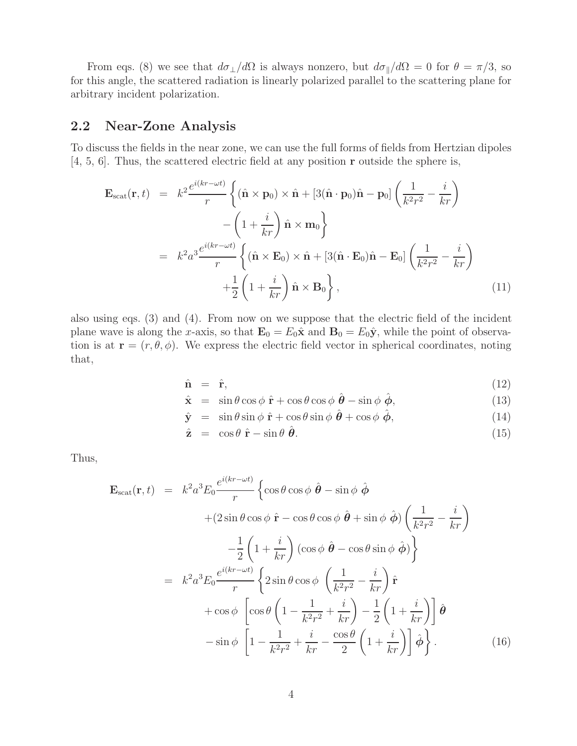From eqs. (8) we see that  $d\sigma_{\perp}/d\Omega$  is always nonzero, but  $d\sigma_{\parallel}/d\Omega = 0$  for  $\theta = \pi/3$ , so for this angle, the scattered radiation is linearly polarized parallel to the scattering plane for arbitrary incident polarization.

### **2.2 Near-Zone Analysis**

To discuss the fields in the near zone, we can use the full forms of fields from Hertzian dipoles [4, 5, 6]. Thus, the scattered electric field at any position **r** outside the sphere is,

$$
\mathbf{E}_{scat}(\mathbf{r},t) = k^2 \frac{e^{i(kr - \omega t)}}{r} \left\{ (\hat{\mathbf{n}} \times \mathbf{p}_0) \times \hat{\mathbf{n}} + [3(\hat{\mathbf{n}} \cdot \mathbf{p}_0)\hat{\mathbf{n}} - \mathbf{p}_0] \left( \frac{1}{k^2 r^2} - \frac{i}{kr} \right) \right.\n- \left( 1 + \frac{i}{kr} \right) \hat{\mathbf{n}} \times \mathbf{m}_0 \right\}\n= k^2 a^3 \frac{e^{i(kr - \omega t)}}{r} \left\{ (\hat{\mathbf{n}} \times \mathbf{E}_0) \times \hat{\mathbf{n}} + [3(\hat{\mathbf{n}} \cdot \mathbf{E}_0)\hat{\mathbf{n}} - \mathbf{E}_0] \left( \frac{1}{k^2 r^2} - \frac{i}{kr} \right) \right.\n+ \frac{1}{2} \left( 1 + \frac{i}{kr} \right) \hat{\mathbf{n}} \times \mathbf{B}_0 \right\},
$$
\n(11)

also using eqs. (3) and (4). From now on we suppose that the electric field of the incident plane wave is along the x-axis, so that  $\mathbf{E}_0 = E_0 \hat{\mathbf{x}}$  and  $\mathbf{B}_0 = E_0 \hat{\mathbf{y}}$ , while the point of observation is at  $\mathbf{r} = (r, \theta, \phi)$ . We express the electric field vector in spherical coordinates, noting that,

$$
\hat{\mathbf{n}} = \hat{\mathbf{r}}, \tag{12}
$$

$$
\hat{\mathbf{x}} = \sin \theta \cos \phi \, \hat{\mathbf{r}} + \cos \theta \cos \phi \, \hat{\boldsymbol{\theta}} - \sin \phi \, \hat{\boldsymbol{\phi}}, \tag{13}
$$

$$
\hat{\mathbf{y}} = \sin \theta \sin \phi \, \hat{\mathbf{r}} + \cos \theta \sin \phi \, \hat{\boldsymbol{\theta}} + \cos \phi \, \hat{\boldsymbol{\phi}}, \tag{14}
$$

$$
\hat{\mathbf{z}} = \cos \theta \, \hat{\mathbf{r}} - \sin \theta \, \hat{\boldsymbol{\theta}}.\tag{15}
$$

Thus,

$$
\mathbf{E}_{scat}(\mathbf{r},t) = k^2 a^3 E_0 \frac{e^{i(kr-\omega t)}}{r} \left\{ \cos \theta \cos \phi \hat{\boldsymbol{\theta}} - \sin \phi \hat{\boldsymbol{\phi}} \right.\n+ (2 \sin \theta \cos \phi \hat{\mathbf{r}} - \cos \theta \cos \phi \hat{\boldsymbol{\theta}} + \sin \phi \hat{\boldsymbol{\phi}}) \left( \frac{1}{k^2 r^2} - \frac{i}{kr} \right)\n- \frac{1}{2} \left( 1 + \frac{i}{kr} \right) (\cos \phi \hat{\boldsymbol{\theta}} - \cos \theta \sin \phi \hat{\boldsymbol{\phi}}) \right\}\n= k^2 a^3 E_0 \frac{e^{i(kr-\omega t)}}{r} \left\{ 2 \sin \theta \cos \phi \left( \frac{1}{k^2 r^2} - \frac{i}{kr} \right) \hat{\mathbf{r}} \right.\n+ \cos \phi \left[ \cos \theta \left( 1 - \frac{1}{k^2 r^2} + \frac{i}{kr} \right) - \frac{1}{2} \left( 1 + \frac{i}{kr} \right) \right] \hat{\boldsymbol{\theta}} \n- \sin \phi \left[ 1 - \frac{1}{k^2 r^2} + \frac{i}{kr} - \frac{\cos \theta}{2} \left( 1 + \frac{i}{kr} \right) \right] \hat{\boldsymbol{\phi}} \right\}. \tag{16}
$$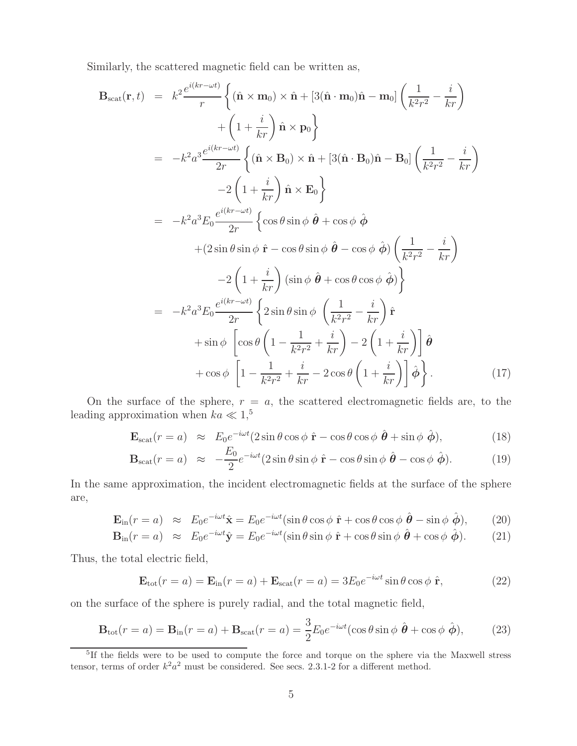Similarly, the scattered magnetic field can be written as,

$$
\mathbf{B}_{\text{scat}}(\mathbf{r},t) = k^2 \frac{e^{i(kr-\omega t)}}{r} \left\{ (\hat{\mathbf{n}} \times \mathbf{m}_0) \times \hat{\mathbf{n}} + [3(\hat{\mathbf{n}} \cdot \mathbf{m}_0)\hat{\mathbf{n}} - \mathbf{m}_0] \left( \frac{1}{k^2 r^2} - \frac{i}{kr} \right) \right\}
$$
  
\n
$$
+ \left( 1 + \frac{i}{kr} \right) \hat{\mathbf{n}} \times \mathbf{p}_0 \right\}
$$
  
\n
$$
= -k^2 a^3 \frac{e^{i(kr-\omega t)}}{2r} \left\{ (\hat{\mathbf{n}} \times \mathbf{B}_0) \times \hat{\mathbf{n}} + [3(\hat{\mathbf{n}} \cdot \mathbf{B}_0)\hat{\mathbf{n}} - \mathbf{B}_0] \left( \frac{1}{k^2 r^2} - \frac{i}{kr} \right) \right\}
$$
  
\n
$$
-2 \left( 1 + \frac{i}{kr} \right) \hat{\mathbf{n}} \times \mathbf{E}_0 \right\}
$$
  
\n
$$
+ (2 \sin \theta \sin \phi \hat{\mathbf{r}} - \cos \theta \sin \phi \hat{\mathbf{\theta}} + \cos \phi \hat{\phi} \left( \frac{1}{k^2 r^2} - \frac{i}{kr} \right)
$$
  
\n
$$
-2 \left( 1 + \frac{i}{kr} \right) (\sin \phi \hat{\mathbf{\theta}} + \cos \theta \cos \phi \hat{\phi}) \left( \frac{1}{k^2 r^2} - \frac{i}{kr} \right)
$$
  
\n
$$
-2 \left( 1 + \frac{i}{kr} \right) (\sin \phi \hat{\mathbf{\theta}} + \cos \theta \cos \phi \hat{\phi}) \right\}
$$
  
\n
$$
= -k^2 a^3 E_0 \frac{e^{i(kr-\omega t)}}{2r} \left\{ 2 \sin \theta \sin \phi \left( \frac{1}{k^2 r^2} - \frac{i}{kr} \right) \hat{\mathbf{r}} \right\}
$$
  
\n
$$
+ \sin \phi \left[ \cos \theta \left( 1 - \frac{1}{k^2 r^2} + \frac{i}{kr} \right) - 2 \left( 1 + \frac{i}{kr} \right) \right] \hat{\mathbf{\theta}} + \cos \phi \left[ 1 - \frac{1
$$

On the surface of the sphere,  $r = a$ , the scattered electromagnetic fields are, to the leading approximation when  $ka \ll 1$ ,<sup>5</sup>

$$
\mathbf{E}_{\rm scat}(r=a) \approx E_0 e^{-i\omega t} (2\sin\theta\cos\phi \hat{\mathbf{r}} - \cos\theta\cos\phi \hat{\boldsymbol{\theta}} + \sin\phi \hat{\boldsymbol{\phi}}), \tag{18}
$$

$$
\mathbf{B}_{\rm scat}(r=a) \approx -\frac{E_0}{2}e^{-i\omega t}(2\sin\theta\sin\phi\,\,\hat{\mathbf{r}}-\cos\theta\sin\phi\,\,\hat{\boldsymbol{\theta}}-\cos\phi\,\,\hat{\boldsymbol{\phi}}). \tag{19}
$$

In the same approximation, the incident electromagnetic fields at the surface of the sphere are,

$$
\mathbf{E}_{\rm in}(r=a) \approx E_0 e^{-i\omega t} \hat{\mathbf{x}} = E_0 e^{-i\omega t} (\sin \theta \cos \phi \, \hat{\mathbf{r}} + \cos \theta \cos \phi \, \hat{\boldsymbol{\theta}} - \sin \phi \, \hat{\boldsymbol{\phi}}), \qquad (20)
$$

$$
\mathbf{B}_{\rm in}(r=a) \approx E_0 e^{-i\omega t} \hat{\mathbf{y}} = E_0 e^{-i\omega t} (\sin \theta \sin \phi \ \hat{\mathbf{r}} + \cos \theta \sin \phi \ \hat{\boldsymbol{\theta}} + \cos \phi \ \hat{\boldsymbol{\phi}}). \tag{21}
$$

Thus, the total electric field,

$$
\mathbf{E}_{\text{tot}}(r=a) = \mathbf{E}_{\text{in}}(r=a) + \mathbf{E}_{\text{scat}}(r=a) = 3E_0 e^{-i\omega t} \sin \theta \cos \phi \hat{\mathbf{r}}, \qquad (22)
$$

on the surface of the sphere is purely radial, and the total magnetic field,

$$
\mathbf{B}_{\text{tot}}(r=a) = \mathbf{B}_{\text{in}}(r=a) + \mathbf{B}_{\text{scat}}(r=a) = \frac{3}{2} E_0 e^{-i\omega t} (\cos \theta \sin \phi \ \hat{\boldsymbol{\theta}} + \cos \phi \ \hat{\boldsymbol{\phi}}),\tag{23}
$$

<sup>&</sup>lt;sup>5</sup>If the fields were to be used to compute the force and torque on the sphere via the Maxwell stress tensor, terms of order  $k^2a^2$  must be considered. See secs. 2.3.1-2 for a different method.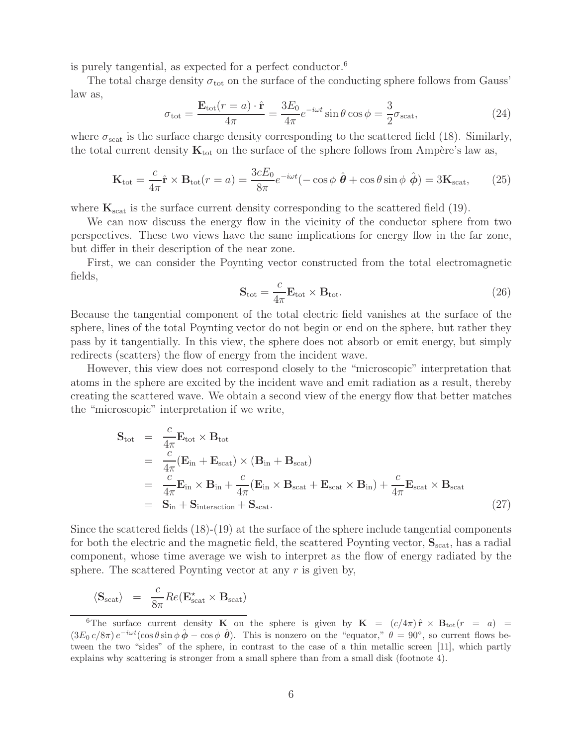is purely tangential, as expected for a perfect conductor.<sup>6</sup>

The total charge density  $\sigma_{\text{tot}}$  on the surface of the conducting sphere follows from Gauss' law as,

$$
\sigma_{\text{tot}} = \frac{\mathbf{E}_{\text{tot}}(r=a) \cdot \hat{\mathbf{r}}}{4\pi} = \frac{3E_0}{4\pi} e^{-i\omega t} \sin \theta \cos \phi = \frac{3}{2} \sigma_{\text{scat}},\tag{24}
$$

where  $\sigma_{\text{scat}}$  is the surface charge density corresponding to the scattered field (18). Similarly, the total current density  $\mathbf{K}_{\text{tot}}$  on the surface of the sphere follows from Ampère's law as,

$$
\mathbf{K}_{\text{tot}} = \frac{c}{4\pi} \hat{\mathbf{r}} \times \mathbf{B}_{\text{tot}}(r = a) = \frac{3cE_0}{8\pi} e^{-i\omega t} (-\cos\phi \ \hat{\boldsymbol{\theta}} + \cos\theta \sin\phi \ \hat{\boldsymbol{\phi}}) = 3\mathbf{K}_{\text{scat}},\tag{25}
$$

where  $\mathbf{K}_{\text{scat}}$  is the surface current density corresponding to the scattered field (19).

We can now discuss the energy flow in the vicinity of the conductor sphere from two perspectives. These two views have the same implications for energy flow in the far zone, but differ in their description of the near zone.

First, we can consider the Poynting vector constructed from the total electromagnetic fields,

$$
\mathbf{S}_{\text{tot}} = \frac{c}{4\pi} \mathbf{E}_{\text{tot}} \times \mathbf{B}_{\text{tot}}.
$$
 (26)

Because the tangential component of the total electric field vanishes at the surface of the sphere, lines of the total Poynting vector do not begin or end on the sphere, but rather they pass by it tangentially. In this view, the sphere does not absorb or emit energy, but simply redirects (scatters) the flow of energy from the incident wave.

However, this view does not correspond closely to the "microscopic" interpretation that atoms in the sphere are excited by the incident wave and emit radiation as a result, thereby creating the scattered wave. We obtain a second view of the energy flow that better matches the "microscopic" interpretation if we write,

$$
\mathbf{S}_{\text{tot}} = \frac{c}{4\pi} \mathbf{E}_{\text{tot}} \times \mathbf{B}_{\text{tot}}
$$
  
\n
$$
= \frac{c}{4\pi} (\mathbf{E}_{\text{in}} + \mathbf{E}_{\text{scat}}) \times (\mathbf{B}_{\text{in}} + \mathbf{B}_{\text{scat}})
$$
  
\n
$$
= \frac{c}{4\pi} \mathbf{E}_{\text{in}} \times \mathbf{B}_{\text{in}} + \frac{c}{4\pi} (\mathbf{E}_{\text{in}} \times \mathbf{B}_{\text{scat}} + \mathbf{E}_{\text{scat}} \times \mathbf{B}_{\text{in}}) + \frac{c}{4\pi} \mathbf{E}_{\text{scat}} \times \mathbf{B}_{\text{scat}}
$$
  
\n
$$
= \mathbf{S}_{\text{in}} + \mathbf{S}_{\text{interaction}} + \mathbf{S}_{\text{scat}}.
$$
 (27)

Since the scattered fields (18)-(19) at the surface of the sphere include tangential components for both the electric and the magnetic field, the scattered Poynting vector,  $S_{scat}$ , has a radial component, whose time average we wish to interpret as the flow of energy radiated by the sphere. The scattered Poynting vector at any  $r$  is given by,

$$
\langle \mathbf{S}_{scat} \rangle = \frac{c}{8\pi} Re(\mathbf{E}_{scat}^{\star} \times \mathbf{B}_{scat})
$$

<sup>&</sup>lt;sup>6</sup>The surface current density **K** on the sphere is given by **K** =  $(c/4\pi) \hat{\mathbf{r}} \times \mathbf{B}_{tot}(r = a)$  =  $(3E_0 c/8\pi) e^{-i\omega t}(\cos\theta \sin\phi \hat{\phi} - \cos\phi \hat{\theta})$ . This is nonzero on the "equator,"  $\theta = 90^{\circ}$ , so current flows between the two "sides" of the sphere, in contrast to the case of a thin metallic screen [11], which partly explains why scattering is stronger from a small sphere than from a small disk (footnote 4).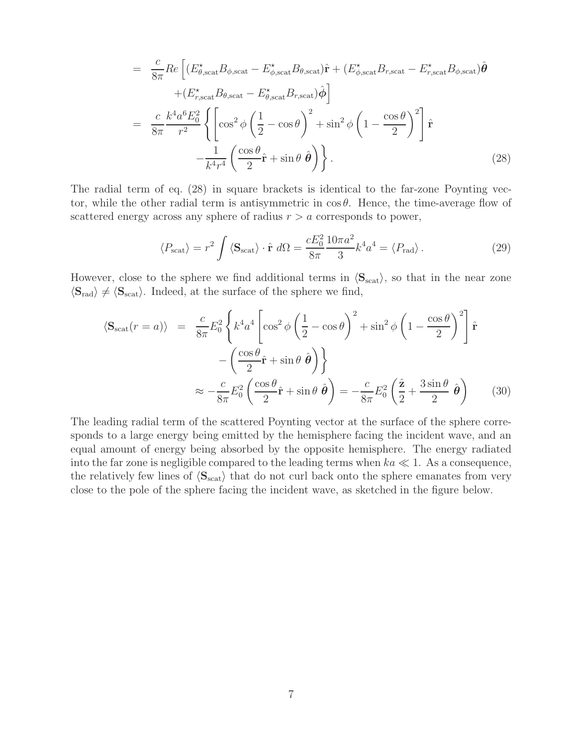$$
= \frac{c}{8\pi} Re \left[ (E_{\theta, \text{scat}}^{\star} B_{\phi, \text{scat}} - E_{\phi, \text{scat}}^{\star} B_{\theta, \text{scat}}) \hat{\mathbf{r}} + (E_{\phi, \text{scat}}^{\star} B_{r, \text{scat}} - E_{r, \text{scat}}^{\star} B_{\phi, \text{scat}}) \hat{\boldsymbol{\theta}} \right]
$$
  
\n
$$
+ (E_{r, \text{scat}}^{\star} B_{\theta, \text{scat}} - E_{\theta, \text{scat}}^{\star} B_{r, \text{scat}}) \hat{\boldsymbol{\phi}} \right]
$$
  
\n
$$
= \frac{c}{8\pi} \frac{k^4 a^6 E_0^2}{r^2} \left\{ \left[ cos^2 \phi \left( \frac{1}{2} - cos \theta \right)^2 + sin^2 \phi \left( 1 - \frac{cos \theta}{2} \right)^2 \right] \hat{\mathbf{r}} - \frac{1}{k^4 r^4} \left( \frac{cos \theta}{2} \hat{\mathbf{r}} + sin \theta \hat{\boldsymbol{\theta}} \right) \right\}.
$$
 (28)

The radial term of eq. (28) in square brackets is identical to the far-zone Poynting vector, while the other radial term is antisymmetric in  $\cos \theta$ . Hence, the time-average flow of scattered energy across any sphere of radius  $r > a$  corresponds to power,

$$
\langle P_{\text{scat}} \rangle = r^2 \int \langle \mathbf{S}_{\text{scat}} \rangle \cdot \hat{\mathbf{r}} \, d\Omega = \frac{c E_0^2}{8\pi} \frac{10\pi a^2}{3} k^4 a^4 = \langle P_{\text{rad}} \rangle \,. \tag{29}
$$

However, close to the sphere we find additional terms in  $\langle S_{scat} \rangle$ , so that in the near zone  $\langle S_{\text{rad}} \rangle \neq \langle S_{\text{scat}} \rangle$ . Indeed, at the surface of the sphere we find,

$$
\langle \mathbf{S}_{\text{scat}}(r=a) \rangle = \frac{c}{8\pi} E_0^2 \left\{ k^4 a^4 \left[ \cos^2 \phi \left( \frac{1}{2} - \cos \theta \right)^2 + \sin^2 \phi \left( 1 - \frac{\cos \theta}{2} \right)^2 \right] \hat{\mathbf{r}} - \left( \frac{\cos \theta}{2} \hat{\mathbf{r}} + \sin \theta \hat{\boldsymbol{\theta}} \right) \right\} \approx -\frac{c}{8\pi} E_0^2 \left( \frac{\cos \theta}{2} \hat{\mathbf{r}} + \sin \theta \hat{\boldsymbol{\theta}} \right) = -\frac{c}{8\pi} E_0^2 \left( \frac{\hat{\mathbf{z}}}{2} + \frac{3 \sin \theta}{2} \hat{\boldsymbol{\theta}} \right)
$$
(30)

The leading radial term of the scattered Poynting vector at the surface of the sphere corresponds to a large energy being emitted by the hemisphere facing the incident wave, and an equal amount of energy being absorbed by the opposite hemisphere. The energy radiated into the far zone is negligible compared to the leading terms when  $ka \ll 1$ . As a consequence, the relatively few lines of  $\langle S_{scat} \rangle$  that do not curl back onto the sphere emanates from very close to the pole of the sphere facing the incident wave, as sketched in the figure below.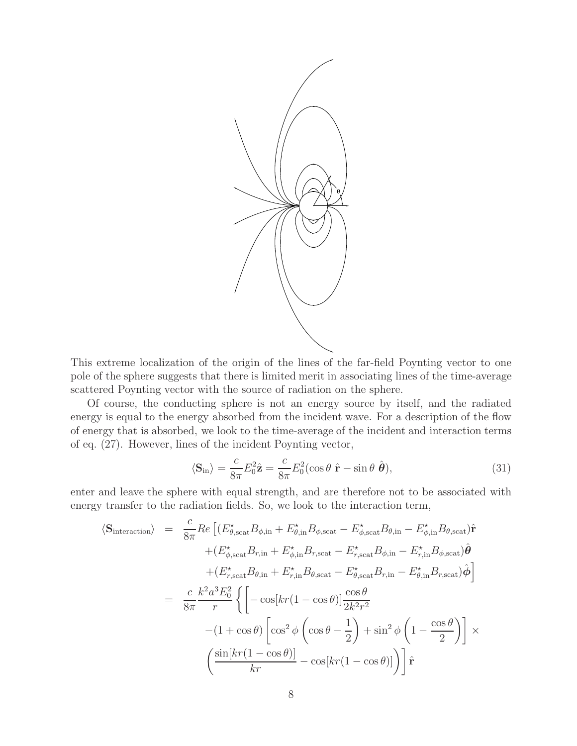

This extreme localization of the origin of the lines of the far-field Poynting vector to one pole of the sphere suggests that there is limited merit in associating lines of the time-average scattered Poynting vector with the source of radiation on the sphere.

Of course, the conducting sphere is not an energy source by itself, and the radiated energy is equal to the energy absorbed from the incident wave. For a description of the flow of energy that is absorbed, we look to the time-average of the incident and interaction terms of eq. (27). However, lines of the incident Poynting vector,

$$
\langle \mathbf{S}_{\rm in} \rangle = \frac{c}{8\pi} E_0^2 \hat{\mathbf{z}} = \frac{c}{8\pi} E_0^2 (\cos \theta \ \hat{\mathbf{r}} - \sin \theta \ \hat{\boldsymbol{\theta}}), \tag{31}
$$

enter and leave the sphere with equal strength, and are therefore not to be associated with energy transfer to the radiation fields. So, we look to the interaction term,

$$
\langle S_{\text{interaction}} \rangle = \frac{c}{8\pi} Re \left[ (E_{\theta, \text{scat}}^* B_{\phi, \text{in}} + E_{\theta, \text{in}}^* B_{\phi, \text{scat}} - E_{\phi, \text{scat}}^* B_{\theta, \text{in}} - E_{\phi, \text{in}}^* B_{\theta, \text{scat}}) \hat{\mathbf{r}} \right]
$$
  
+ 
$$
(E_{\phi, \text{scat}}^* B_{r, \text{in}} + E_{\phi, \text{in}}^* B_{r, \text{scat}} - E_{r, \text{scat}}^* B_{\phi, \text{in}} - E_{r, \text{in}}^* B_{\phi, \text{scat}}) \hat{\boldsymbol{\theta}}
$$
  
+ 
$$
(E_{r, \text{scat}}^* B_{\theta, \text{in}} + E_{r, \text{in}}^* B_{\theta, \text{scat}} - E_{\theta, \text{scat}}^* B_{r, \text{in}} - E_{\theta, \text{in}}^* B_{r, \text{scat}}) \hat{\boldsymbol{\phi}}
$$
  
= 
$$
\frac{c}{8\pi} \frac{k^2 a^3 E_0^2}{r} \left\{ \left[ -\cos[kr(1 - \cos\theta)] \frac{\cos\theta}{2k^2 r^2} - (1 + \cos\theta) \left[ \cos^2\phi \left( \cos\theta - \frac{1}{2} \right) + \sin^2\phi \left( 1 - \frac{\cos\theta}{2} \right) \right] \right] \times \left( \frac{\sin[kr(1 - \cos\theta)]}{kr} - \cos[kr(1 - \cos\theta)] \right) \hat{\mathbf{r}}
$$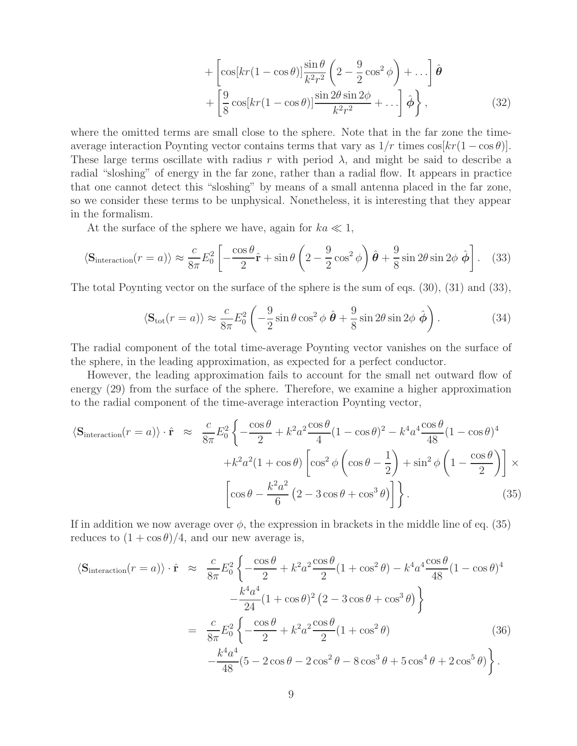$$
+\left[\cos\left[kr(1-\cos\theta)\right]\frac{\sin\theta}{k^2r^2}\left(2-\frac{9}{2}\cos^2\phi\right)+\ldots\right]\hat{\theta} +\left[\frac{9}{8}\cos\left[kr(1-\cos\theta)\right]\frac{\sin 2\theta \sin 2\phi}{k^2r^2}+\ldots\right]\hat{\phi}\right\},
$$
(32)

where the omitted terms are small close to the sphere. Note that in the far zone the timeaverage interaction Poynting vector contains terms that vary as  $1/r$  times  $\cos(kr(1-\cos\theta))$ . These large terms oscillate with radius r with period  $\lambda$ , and might be said to describe a radial "sloshing" of energy in the far zone, rather than a radial flow. It appears in practice that one cannot detect this "sloshing" by means of a small antenna placed in the far zone, so we consider these terms to be unphysical. Nonetheless, it is interesting that they appear in the formalism.

At the surface of the sphere we have, again for  $ka \ll 1$ ,

$$
\langle \mathbf{S}_{\text{interaction}}(r=a) \rangle \approx \frac{c}{8\pi} E_0^2 \left[ -\frac{\cos\theta}{2} \hat{\mathbf{r}} + \sin\theta \left( 2 - \frac{9}{2}\cos^2\phi \right) \hat{\boldsymbol{\theta}} + \frac{9}{8}\sin 2\theta \sin 2\phi \hat{\boldsymbol{\phi}} \right]. \tag{33}
$$

The total Poynting vector on the surface of the sphere is the sum of eqs. (30), (31) and (33),

$$
\langle \mathbf{S}_{\text{tot}}(r=a) \rangle \approx \frac{c}{8\pi} E_0^2 \left( -\frac{9}{2} \sin \theta \cos^2 \phi \, \hat{\boldsymbol{\theta}} + \frac{9}{8} \sin 2\theta \sin 2\phi \, \hat{\boldsymbol{\phi}} \right). \tag{34}
$$

The radial component of the total time-average Poynting vector vanishes on the surface of the sphere, in the leading approximation, as expected for a perfect conductor.

However, the leading approximation fails to account for the small net outward flow of energy (29) from the surface of the sphere. Therefore, we examine a higher approximation to the radial component of the time-average interaction Poynting vector,

$$
\langle \mathbf{S}_{\text{interaction}}(r=a) \rangle \cdot \hat{\mathbf{r}} \approx \frac{c}{8\pi} E_0^2 \left\{ -\frac{\cos\theta}{2} + k^2 a^2 \frac{\cos\theta}{4} (1 - \cos\theta)^2 - k^4 a^4 \frac{\cos\theta}{48} (1 - \cos\theta)^4 \right. \\ \left. + k^2 a^2 (1 + \cos\theta) \left[ \cos^2\phi \left( \cos\theta - \frac{1}{2} \right) + \sin^2\phi \left( 1 - \frac{\cos\theta}{2} \right) \right] \times \left[ \cos\theta - \frac{k^2 a^2}{6} \left( 2 - 3\cos\theta + \cos^3\theta \right) \right] \right\} . \tag{35}
$$

If in addition we now average over  $\phi$ , the expression in brackets in the middle line of eq. (35) reduces to  $(1 + \cos \theta)/4$ , and our new average is,

$$
\langle \mathbf{S}_{\text{interaction}}(r=a) \rangle \cdot \hat{\mathbf{r}} \approx \frac{c}{8\pi} E_0^2 \left\{ -\frac{\cos\theta}{2} + k^2 a^2 \frac{\cos\theta}{2} (1 + \cos^2\theta) - k^4 a^4 \frac{\cos\theta}{48} (1 - \cos\theta)^4 - \frac{k^4 a^4}{24} (1 + \cos\theta)^2 (2 - 3\cos\theta + \cos^3\theta) \right\}
$$
  

$$
= \frac{c}{8\pi} E_0^2 \left\{ -\frac{\cos\theta}{2} + k^2 a^2 \frac{\cos\theta}{2} (1 + \cos^2\theta) - \frac{k^4 a^4}{48} (5 - 2\cos\theta - 2\cos^2\theta - 8\cos^3\theta + 5\cos^4\theta + 2\cos^5\theta) \right\}.
$$
 (36)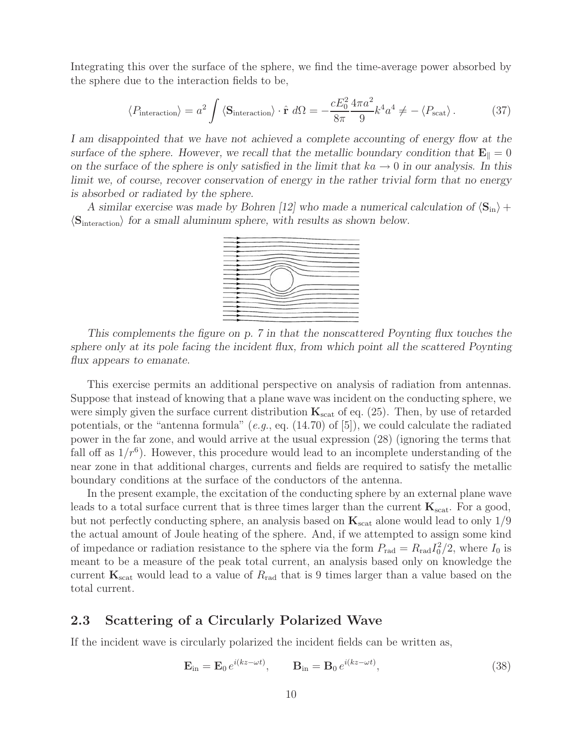Integrating this over the surface of the sphere, we find the time-average power absorbed by the sphere due to the interaction fields to be,

$$
\langle P_{\text{interaction}} \rangle = a^2 \int \langle \mathbf{S}_{\text{interaction}} \rangle \cdot \hat{\mathbf{r}} \, d\Omega = -\frac{cE_0^2}{8\pi} \frac{4\pi a^2}{9} k^4 a^4 \neq -\langle P_{\text{scat}} \rangle \,. \tag{37}
$$

*I am disappointed that we have not achieved a complete accounting of energy flow at the surface of the sphere. However, we recall that the metallic boundary condition that*  $\mathbf{E}_{\parallel} = 0$ *on the surface of the sphere is only satisfied in the limit that*  $ka \rightarrow 0$  *in our analysis. In this limit we, of course, recover conservation of energy in the rather trivial form that no energy is absorbed or radiated by the sphere.*

*A similar exercise was made by Bohren [12] who made a numerical calculation of*  $\langle S_{in} \rangle$  +  $\langle S_{\text{interaction}} \rangle$  for a small aluminum sphere, with results as shown below.



*This complements the figure on p. 7 in that the nonscattered Poynting flux touches the sphere only at its pole facing the incident flux, from which point all the scattered Poynting flux appears to emanate.*

This exercise permits an additional perspective on analysis of radiation from antennas. Suppose that instead of knowing that a plane wave was incident on the conducting sphere, we were simply given the surface current distribution  $\mathbf{K}_{\text{scat}}$  of eq. (25). Then, by use of retarded potentials, or the "antenna formula" (*e.g.*, eq. (14.70) of [5]), we could calculate the radiated power in the far zone, and would arrive at the usual expression (28) (ignoring the terms that fall off as  $1/r^6$ ). However, this procedure would lead to an incomplete understanding of the near zone in that additional charges, currents and fields are required to satisfy the metallic boundary conditions at the surface of the conductors of the antenna.

In the present example, the excitation of the conducting sphere by an external plane wave leads to a total surface current that is three times larger than the current  $\mathbf{K}_{scat}$ . For a good, but not perfectly conducting sphere, an analysis based on  $\mathbf{K}_{\text{scat}}$  alone would lead to only  $1/9$ the actual amount of Joule heating of the sphere. And, if we attempted to assign some kind of impedance or radiation resistance to the sphere via the form  $P_{\text{rad}} = R_{\text{rad}} I_0^2 / 2$ , where  $I_0$  is meant to be a measure of the peak total current, an analysis based only on knowledge the current  $\mathbf{K}_{scat}$  would lead to a value of  $R_{rad}$  that is 9 times larger than a value based on the total current.

#### **2.3 Scattering of a Circularly Polarized Wave**

If the incident wave is circularly polarized the incident fields can be written as,

$$
\mathbf{E}_{\rm in} = \mathbf{E}_0 e^{i(kz - \omega t)}, \qquad \mathbf{B}_{\rm in} = \mathbf{B}_0 e^{i(kz - \omega t)}, \tag{38}
$$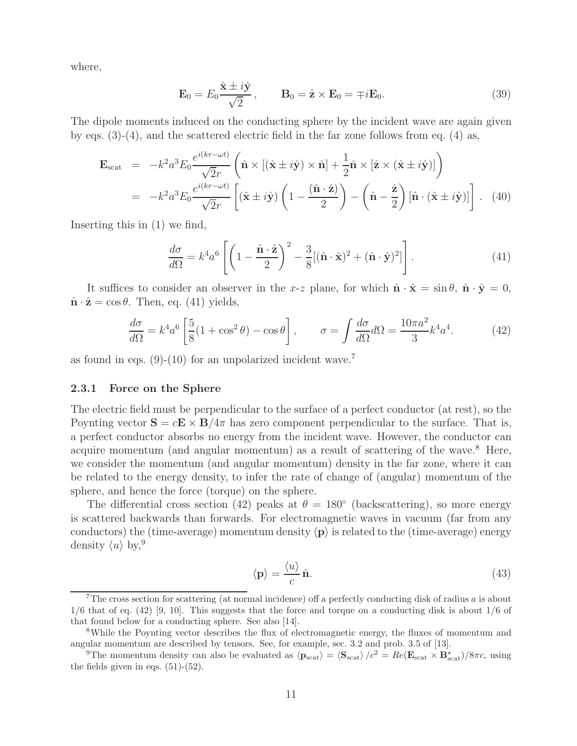where,

$$
\mathbf{E}_0 = E_0 \frac{\hat{\mathbf{x}} \pm i\hat{\mathbf{y}}}{\sqrt{2}}, \qquad \mathbf{B}_0 = \hat{\mathbf{z}} \times \mathbf{E}_0 = \mp i \mathbf{E}_0.
$$
 (39)

The dipole moments induced on the conducting sphere by the incident wave are again given by eqs.  $(3)-(4)$ , and the scattered electric field in the far zone follows from eq.  $(4)$  as,

$$
\mathbf{E}_{\text{scat}} = -k^2 a^3 E_0 \frac{e^{i(kr - \omega t)}}{\sqrt{2}r} \left( \hat{\mathbf{n}} \times [(\hat{\mathbf{x}} \pm i\hat{\mathbf{y}}) \times \hat{\mathbf{n}}] + \frac{1}{2} \hat{\mathbf{n}} \times [\hat{\mathbf{z}} \times (\hat{\mathbf{x}} \pm i\hat{\mathbf{y}})] \right)
$$
  
=  $-k^2 a^3 E_0 \frac{e^{i(kr - \omega t)}}{\sqrt{2}r} \left[ (\hat{\mathbf{x}} \pm i\hat{\mathbf{y}}) \left( 1 - \frac{(\hat{\mathbf{n}} \cdot \hat{\mathbf{z}})}{2} \right) - (\hat{\mathbf{n}} - \frac{\hat{\mathbf{z}}}{2}) [\hat{\mathbf{n}} \cdot (\hat{\mathbf{x}} \pm i\hat{\mathbf{y}})] \right].$  (40)

Inserting this in (1) we find,

$$
\frac{d\sigma}{d\Omega} = k^4 a^6 \left[ \left( 1 - \frac{\hat{\mathbf{n}} \cdot \hat{\mathbf{z}}}{2} \right)^2 - \frac{3}{8} [(\hat{\mathbf{n}} \cdot \hat{\mathbf{x}})^2 + (\hat{\mathbf{n}} \cdot \hat{\mathbf{y}})^2] \right].
$$
 (41)

It suffices to consider an observer in the x-z plane, for which  $\hat{\mathbf{n}} \cdot \hat{\mathbf{x}} = \sin \theta$ ,  $\hat{\mathbf{n}} \cdot \hat{\mathbf{y}} = 0$ ,  $\hat{\mathbf{n}} \cdot \hat{\mathbf{z}} = \cos \theta$ . Then, eq. (41) yields,

$$
\frac{d\sigma}{d\Omega} = k^4 a^6 \left[ \frac{5}{8} (1 + \cos^2 \theta) - \cos \theta \right], \qquad \sigma = \int \frac{d\sigma}{d\Omega} d\Omega = \frac{10\pi a^2}{3} k^4 a^4. \tag{42}
$$

as found in eqs.  $(9)-(10)$  for an unpolarized incident wave.<sup>7</sup>

#### **2.3.1 Force on the Sphere**

The electric field must be perpendicular to the surface of a perfect conductor (at rest), so the Poynting vector  $\mathbf{S} = c\mathbf{E} \times \mathbf{B}/4\pi$  has zero component perpendicular to the surface. That is, a perfect conductor absorbs no energy from the incident wave. However, the conductor can acquire momentum (and angular momentum) as a result of scattering of the wave.<sup>8</sup> Here, we consider the momentum (and angular momentum) density in the far zone, where it can be related to the energy density, to infer the rate of change of (angular) momentum of the sphere, and hence the force (torque) on the sphere.

The differential cross section (42) peaks at  $\theta = 180^{\circ}$  (backscattering), so more energy is scattered backwards than forwards. For electromagnetic waves in vacuum (far from any conductors) the (time-average) momentum density  $\langle \mathbf{p} \rangle$  is related to the (time-average) energy density  $\langle u \rangle$  by, 9

$$
\langle \mathbf{p} \rangle = \frac{\langle u \rangle}{c} \,\hat{\mathbf{n}}.\tag{43}
$$

<sup>&</sup>lt;sup>7</sup>The cross section for scattering (at normal incidence) off a perfectly conducting disk of radius  $a$  is about  $1/6$  that of eq. (42) [9, 10]. This suggests that the force and torque on a conducting disk is about  $1/6$  of that found below for a conducting sphere. See also [14].

<sup>&</sup>lt;sup>8</sup>While the Poynting vector describes the flux of electromagnetic energy, the fluxes of momentum and angular momentum are described by tensors. See, for example, sec. 3.2 and prob. 3.5 of [13].

<sup>&</sup>lt;sup>9</sup>The momentum density can also be evaluated as  $\langle \mathbf{p}_{scat} \rangle = \langle \mathbf{S}_{scat} \rangle / c^2 = Re(\mathbf{E}_{scat} \times \mathbf{B}_{scat}^{\star})/8\pi c$ , using the fields given in eqs.  $(51)-(52)$ .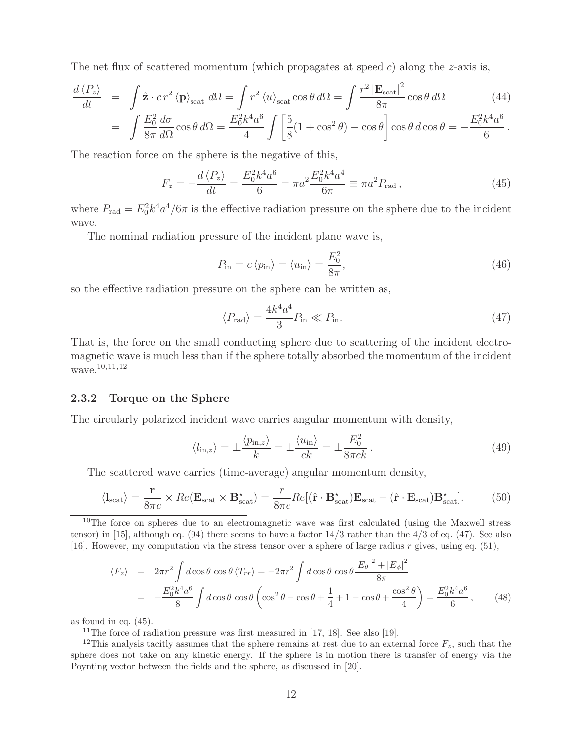The net flux of scattered momentum (which propagates at speed  $c$ ) along the z-axis is,

$$
\frac{d\langle P_z \rangle}{dt} = \int \hat{\mathbf{z}} \cdot c \, r^2 \langle \mathbf{p} \rangle_{\text{scat}} d\Omega = \int r^2 \langle u \rangle_{\text{scat}} \cos \theta \, d\Omega = \int \frac{r^2 |\mathbf{E}_{\text{scat}}|^2}{8\pi} \cos \theta \, d\Omega \qquad (44)
$$
\n
$$
\int E_0^2 \, d\sigma = 0 \, d\Omega = E_0^2 k^4 a^6 \int \left[ 5 \, (1 + \cos^2 \theta) \right] \cos \theta \, d\Omega = E_0^2 k^4 a^6
$$

$$
= \int \frac{E_0^2}{8\pi} \frac{d\sigma}{d\Omega} \cos\theta \, d\Omega = \frac{E_0^2 k^4 a^6}{4} \int \left[ \frac{5}{8} (1 + \cos^2 \theta) - \cos \theta \right] \cos\theta \, d\cos\theta = -\frac{E_0^2 k^4 a^6}{6}.
$$

The reaction force on the sphere is the negative of this,

$$
F_z = -\frac{d\langle P_z \rangle}{dt} = \frac{E_0^2 k^4 a^6}{6} = \pi a^2 \frac{E_0^2 k^4 a^4}{6\pi} \equiv \pi a^2 P_{\text{rad}}\,,\tag{45}
$$

where  $P_{\text{rad}} = E_0^2 k^4 a^4 / 6\pi$  is the effective radiation pressure on the sphere due to the incident wave.

The nominal radiation pressure of the incident plane wave is,

$$
P_{\rm in} = c \langle p_{\rm in} \rangle = \langle u_{\rm in} \rangle = \frac{E_0^2}{8\pi},\tag{46}
$$

so the effective radiation pressure on the sphere can be written as,

$$
\langle P_{\rm rad} \rangle = \frac{4k^4 a^4}{3} P_{\rm in} \ll P_{\rm in}.\tag{47}
$$

That is, the force on the small conducting sphere due to scattering of the incident electromagnetic wave is much less than if the sphere totally absorbed the momentum of the incident wave.<sup>10,11,12</sup>

#### **2.3.2 Torque on the Sphere**

The circularly polarized incident wave carries angular momentum with density,

$$
\langle l_{\text{in},z} \rangle = \pm \frac{\langle p_{\text{in},z} \rangle}{k} = \pm \frac{\langle u_{\text{in}} \rangle}{ck} = \pm \frac{E_0^2}{8\pi ck}.
$$
\n(49)

The scattered wave carries (time-average) angular momentum density,

$$
\langle \mathbf{l}_{scat} \rangle = \frac{\mathbf{r}}{8\pi c} \times Re(\mathbf{E}_{scat} \times \mathbf{B}_{scat}^{\star}) = \frac{r}{8\pi c} Re[(\hat{\mathbf{r}} \cdot \mathbf{B}_{scat}^{\star}) \mathbf{E}_{scat} - (\hat{\mathbf{r}} \cdot \mathbf{E}_{scat}) \mathbf{B}_{scat}^{\star}]. \tag{50}
$$

<sup>10</sup>The force on spheres due to an electromagnetic wave was first calculated (using the Maxwell stress tensor) in [15], although eq. (94) there seems to have a factor  $14/3$  rather than the  $4/3$  of eq. (47). See also [16]. However, my computation via the stress tensor over a sphere of large radius  $r$  gives, using eq. (51),

$$
\langle F_z \rangle = 2\pi r^2 \int d\cos\theta \cos\theta \langle T_{rr} \rangle = -2\pi r^2 \int d\cos\theta \cos\theta \frac{|E_\theta|^2 + |E_\phi|^2}{8\pi}
$$
  
= 
$$
-\frac{E_0^2 k^4 a^6}{8} \int d\cos\theta \cos\theta \left( \cos^2\theta - \cos\theta + \frac{1}{4} + 1 - \cos\theta + \frac{\cos^2\theta}{4} \right) = \frac{E_0^2 k^4 a^6}{6}, \qquad (48)
$$

as found in eq. (45).

<sup>11</sup>The force of radiation pressure was first measured in [17, 18]. See also [19].

<sup>12</sup>This analysis tacitly assumes that the sphere remains at rest due to an external force  $F_z$ , such that the sphere does not take on any kinetic energy. If the sphere is in motion there is transfer of energy via the Poynting vector between the fields and the sphere, as discussed in [20].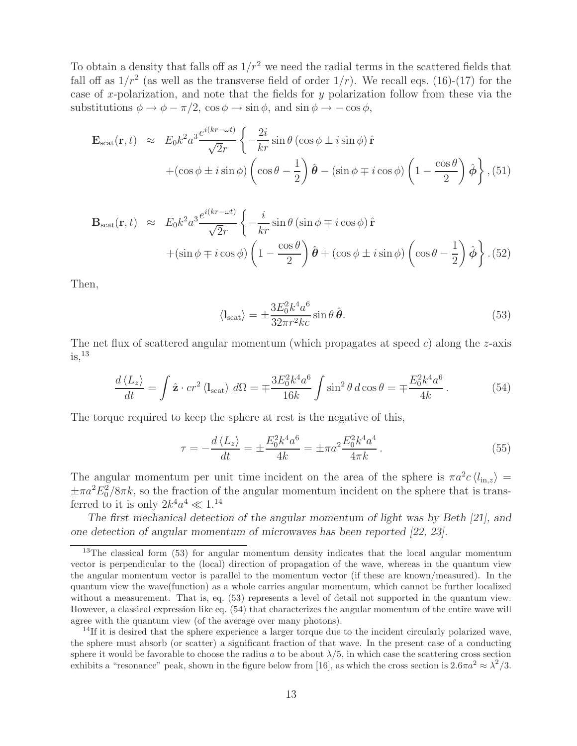To obtain a density that falls off as  $1/r^2$  we need the radial terms in the scattered fields that fall off as  $1/r^2$  (as well as the transverse field of order  $1/r$ ). We recall eqs. (16)-(17) for the case of x-polarization, and note that the fields for  $y$  polarization follow from these via the substitutions  $\phi \to \phi - \pi/2$ ,  $\cos \phi \to \sin \phi$ , and  $\sin \phi \to -\cos \phi$ ,

$$
\mathbf{E}_{\text{scat}}(\mathbf{r},t) \approx E_0 k^2 a^3 \frac{e^{i(kr-\omega t)}}{\sqrt{2}r} \left\{ -\frac{2i}{kr} \sin \theta \left( \cos \phi \pm i \sin \phi \right) \hat{\mathbf{r}} \right.\n+ \left( \cos \phi \pm i \sin \phi \right) \left( \cos \theta - \frac{1}{2} \right) \hat{\boldsymbol{\theta}} - \left( \sin \phi \mp i \cos \phi \right) \left( 1 - \frac{\cos \theta}{2} \right) \hat{\boldsymbol{\phi}} \right\}, (51)
$$

$$
\mathbf{B}_{\text{scat}}(\mathbf{r},t) \approx E_0 k^2 a^3 \frac{e^{i(kr-\omega t)}}{\sqrt{2}r} \left\{ -\frac{i}{kr} \sin \theta \left( \sin \phi \mp i \cos \phi \right) \hat{\mathbf{r}} \right.\n+ \left( \sin \phi \mp i \cos \phi \right) \left( 1 - \frac{\cos \theta}{2} \right) \hat{\boldsymbol{\theta}} + \left( \cos \phi \pm i \sin \phi \right) \left( \cos \theta - \frac{1}{2} \right) \hat{\boldsymbol{\phi}} \right\}. (52)
$$

Then,

$$
\langle I_{\text{scat}} \rangle = \pm \frac{3E_0^2 k^4 a^6}{32\pi r^2 k c} \sin \theta \,\hat{\boldsymbol{\theta}}.\tag{53}
$$

The net flux of scattered angular momentum (which propagates at speed  $c$ ) along the z-axis  $is,$ <sup>13</sup>

$$
\frac{d\langle L_z\rangle}{dt} = \int \hat{\mathbf{z}} \cdot cr^2 \langle \mathbf{l}_{\text{scat}} \rangle \, d\Omega = \mp \frac{3E_0^2 k^4 a^6}{16k} \int \sin^2 \theta \, d\cos \theta = \mp \frac{E_0^2 k^4 a^6}{4k}. \tag{54}
$$

The torque required to keep the sphere at rest is the negative of this,

$$
\tau = -\frac{d\langle L_z \rangle}{dt} = \pm \frac{E_0^2 k^4 a^6}{4k} = \pm \pi a^2 \frac{E_0^2 k^4 a^4}{4\pi k} \,. \tag{55}
$$

The angular momentum per unit time incident on the area of the sphere is  $\pi a^2 c \langle l_{\rm in,z} \rangle =$  $\pm \pi a^2 E_0^2/8\pi k$ , so the fraction of the angular momentum incident on the sphere that is transferred to it is only  $2k^4a^4 \ll 1^{14}$ 

*The first mechanical detection of the angular momentum of light was by Beth [21], and one detection of angular momentum of microwaves has been reported [22, 23].*

<sup>&</sup>lt;sup>13</sup>The classical form (53) for angular momentum density indicates that the local angular momentum vector is perpendicular to the (local) direction of propagation of the wave, whereas in the quantum view the angular momentum vector is parallel to the momentum vector (if these are known/measured). In the quantum view the wave(function) as a whole carries angular momentum, which cannot be further localized without a measurement. That is, eq.  $(53)$  represents a level of detail not supported in the quantum view. However, a classical expression like eq. (54) that characterizes the angular momentum of the entire wave will agree with the quantum view (of the average over many photons).

 $14$ If it is desired that the sphere experience a larger torque due to the incident circularly polarized wave, the sphere must absorb (or scatter) a significant fraction of that wave. In the present case of a conducting sphere it would be favorable to choose the radius a to be about  $\lambda/5$ , in which case the scattering cross section exhibits a "resonance" peak, shown in the figure below from [16], as which the cross section is  $2.6\pi a^2 \approx \lambda^2/3$ .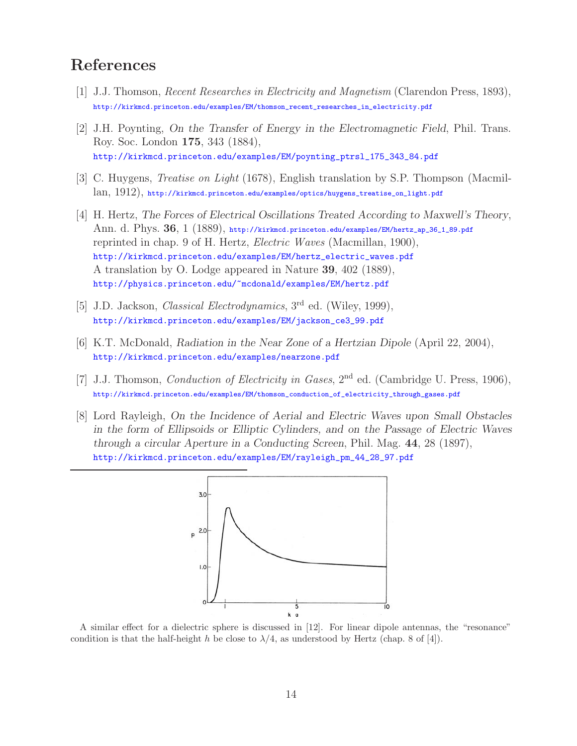# **References**

- [1] J.J. Thomson, *Recent Researches in Electricity and Magnetism* (Clarendon Press, 1893), http://kirkmcd.princeton.edu/examples/EM/thomson\_recent\_researches\_in\_electricity.pdf
- [2] J.H. Poynting, *On the Transfer of Energy in the Electromagnetic Field*, Phil. Trans. Roy. Soc. London **175**, 343 (1884), http://kirkmcd.princeton.edu/examples/EM/poynting\_ptrsl\_175\_343\_84.pdf
- [3] C. Huygens, *Treatise on Light* (1678), English translation by S.P. Thompson (Macmillan, 1912), http://kirkmcd.princeton.edu/examples/optics/huygens\_treatise\_on\_light.pdf
- [4] H. Hertz, *The Forces of Electrical Oscillations Treated According to Maxwell's Theory*, Ann. d. Phys. **36**, 1 (1889), http://kirkmcd.princeton.edu/examples/EM/hertz\_ap\_36\_1\_89.pdf reprinted in chap. 9 of H. Hertz, *Electric Waves* (Macmillan, 1900), http://kirkmcd.princeton.edu/examples/EM/hertz\_electric\_waves.pdf A translation by O. Lodge appeared in Nature **39**, 402 (1889), http://physics.princeton.edu/~mcdonald/examples/EM/hertz.pdf
- [5] J.D. Jackson, *Classical Electrodynamics*, 3rd ed. (Wiley, 1999), http://kirkmcd.princeton.edu/examples/EM/jackson\_ce3\_99.pdf
- [6] K.T. McDonald, *Radiation in the Near Zone of a Hertzian Dipole* (April 22, 2004), http://kirkmcd.princeton.edu/examples/nearzone.pdf
- [7] J.J. Thomson, *Conduction of Electricity in Gases*, 2nd ed. (Cambridge U. Press, 1906), http://kirkmcd.princeton.edu/examples/EM/thomson\_conduction\_of\_electricity\_through\_gases.pdf
- [8] Lord Rayleigh, *On the Incidence of Aerial and Electric Waves upon Small Obstacles in the form of Ellipsoids or Elliptic Cylinders, and on the Passage of Electric Waves through a circular Aperture in a Conducting Screen*, Phil. Mag. **44**, 28 (1897), http://kirkmcd.princeton.edu/examples/EM/rayleigh\_pm\_44\_28\_97.pdf



A similar effect for a dielectric sphere is discussed in [12]. For linear dipole antennas, the "resonance" condition is that the half-height h be close to  $\lambda/4$ , as understood by Hertz (chap. 8 of [4]).